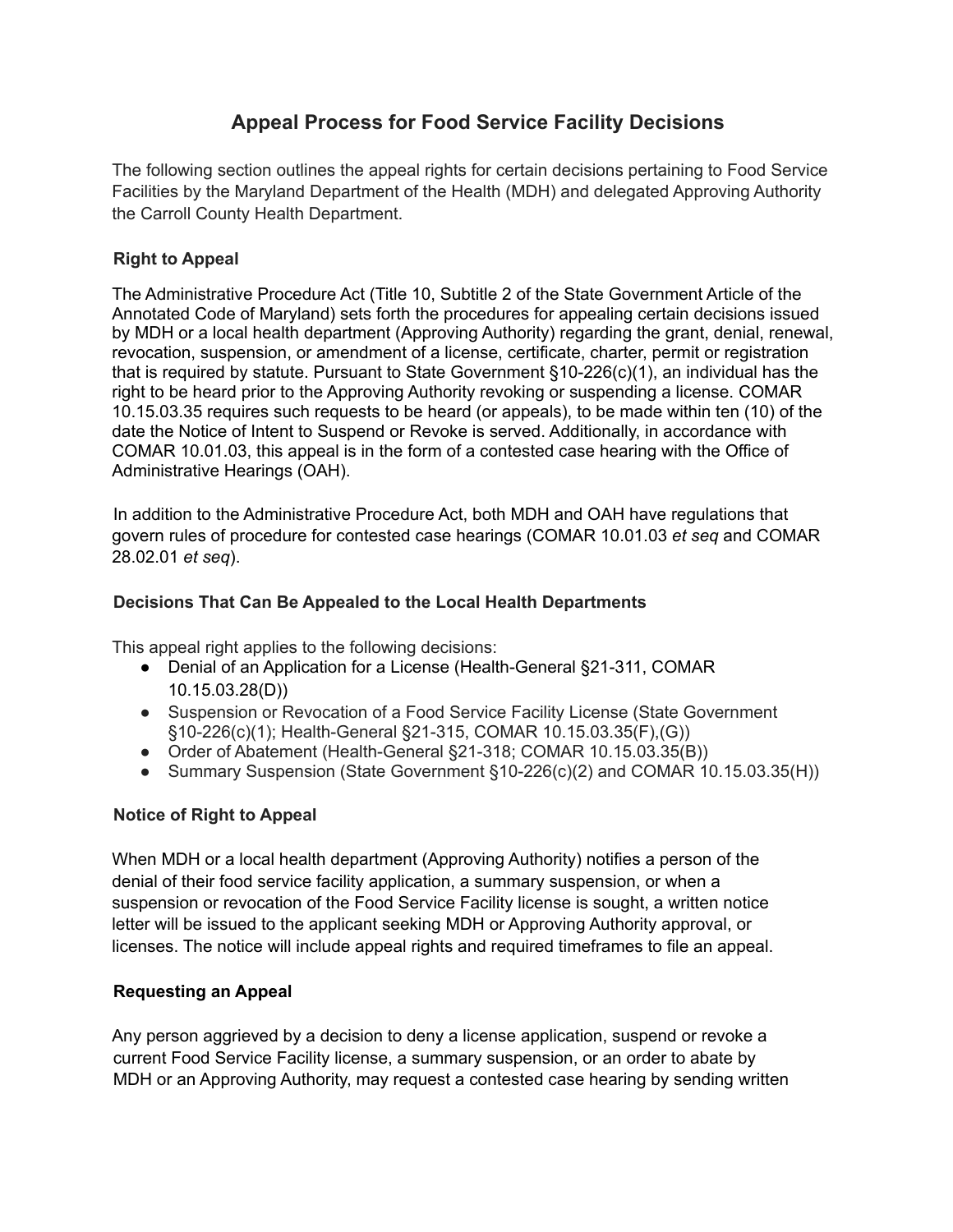# **Appeal Process for Food Service Facility Decisions**

The following section outlines the appeal rights for certain decisions pertaining to Food Service Facilities by the Maryland Department of the Health (MDH) and delegated Approving Authority the Carroll County Health Department.

## **Right to Appeal**

The Administrative Procedure Act (Title 10, Subtitle 2 of the State Government Article of the Annotated Code of Maryland) sets forth the procedures for appealing certain decisions issued by MDH or a local health department (Approving Authority) regarding the grant, denial, renewal, revocation, suspension, or amendment of a license, certificate, charter, permit or registration that is required by statute. Pursuant to State Government §10-226(c)(1), an individual has the right to be heard prior to the Approving Authority revoking or suspending a license. COMAR 10.15.03.35 requires such requests to be heard (or appeals), to be made within ten (10) of the date the Notice of Intent to Suspend or Revoke is served. Additionally, in accordance with COMAR 10.01.03, this appeal is in the form of a contested case hearing with the Office of Administrative Hearings (OAH).

In addition to the Administrative Procedure Act, both MDH and OAH have regulations that govern rules of procedure for contested case hearings (COMAR 10.01.03 *et seq* and COMAR 28.02.01 *et seq*).

## **Decisions That Can Be Appealed to the Local Health Departments**

This appeal right applies to the following decisions:

- Denial of an Application for a License (Health-General §21-311, COMAR 10.15.03.28(D))
- Suspension or Revocation of a Food Service Facility License (State Government §10-226(c)(1); Health-General §21-315, COMAR 10.15.03.35(F),(G))
- Order of Abatement (Health-General §21-318; COMAR 10.15.03.35(B))
- Summary Suspension (State Government §10-226(c)(2) and COMAR 10.15.03.35(H))

# **Notice of Right to Appeal**

When MDH or a local health department (Approving Authority) notifies a person of the denial of their food service facility application, a summary suspension, or when a suspension or revocation of the Food Service Facility license is sought, a written notice letter will be issued to the applicant seeking MDH or Approving Authority approval, or licenses. The notice will include appeal rights and required timeframes to file an appeal.

#### **Requesting an Appeal**

Any person aggrieved by a decision to deny a license application, suspend or revoke a current Food Service Facility license, a summary suspension, or an order to abate by MDH or an Approving Authority, may request a contested case hearing by sending written